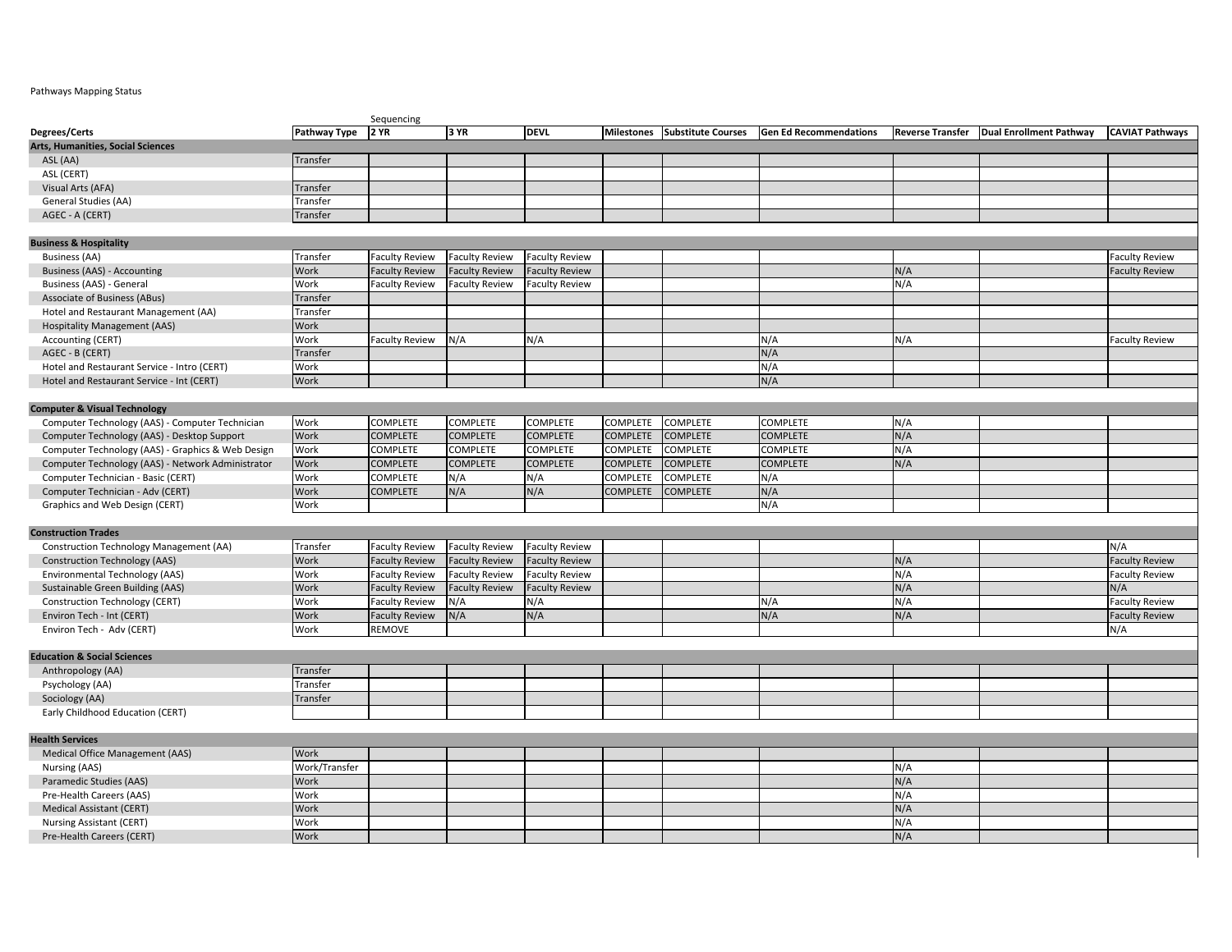## Pathways Mapping Status

|                                                   | Sequencing    |                       |                       |                       |                   |                           |                               |                         |                                |                        |
|---------------------------------------------------|---------------|-----------------------|-----------------------|-----------------------|-------------------|---------------------------|-------------------------------|-------------------------|--------------------------------|------------------------|
| Degrees/Certs                                     | Pathway Type  | 2 YR                  | 3 YR                  | <b>DEVL</b>           | <b>Milestones</b> | <b>Substitute Courses</b> | <b>Gen Ed Recommendations</b> | <b>Reverse Transfer</b> | <b>Dual Enrollment Pathway</b> | <b>CAVIAT Pathways</b> |
| Arts, Humanities, Social Sciences                 |               |                       |                       |                       |                   |                           |                               |                         |                                |                        |
| ASL (AA)                                          | Transfer      |                       |                       |                       |                   |                           |                               |                         |                                |                        |
| ASL (CERT)                                        |               |                       |                       |                       |                   |                           |                               |                         |                                |                        |
| Visual Arts (AFA)                                 | Transfer      |                       |                       |                       |                   |                           |                               |                         |                                |                        |
| General Studies (AA)                              | Transfer      |                       |                       |                       |                   |                           |                               |                         |                                |                        |
| AGEC - A (CERT)                                   | Transfer      |                       |                       |                       |                   |                           |                               |                         |                                |                        |
|                                                   |               |                       |                       |                       |                   |                           |                               |                         |                                |                        |
| <b>Business &amp; Hospitality</b>                 |               |                       |                       |                       |                   |                           |                               |                         |                                |                        |
| Business (AA)                                     | Transfer      | <b>Faculty Review</b> | <b>Faculty Review</b> | <b>Faculty Review</b> |                   |                           |                               |                         |                                | <b>Faculty Review</b>  |
| Business (AAS) - Accounting                       | Work          | <b>Faculty Review</b> | <b>Faculty Review</b> | <b>Faculty Review</b> |                   |                           |                               | N/A                     |                                | <b>Faculty Review</b>  |
| Business (AAS) - General                          | Work          | <b>Faculty Review</b> | <b>Faculty Review</b> | <b>Faculty Review</b> |                   |                           |                               | N/A                     |                                |                        |
| Associate of Business (ABus)                      | Transfer      |                       |                       |                       |                   |                           |                               |                         |                                |                        |
| Hotel and Restaurant Management (AA)              | Transfer      |                       |                       |                       |                   |                           |                               |                         |                                |                        |
| <b>Hospitality Management (AAS)</b>               | Work          |                       |                       |                       |                   |                           |                               |                         |                                |                        |
| Accounting (CERT)                                 | Work          | <b>Faculty Review</b> | N/A                   | N/A                   |                   |                           | N/A                           | N/A                     |                                | <b>Faculty Review</b>  |
| AGEC - B (CERT)                                   | Transfer      |                       |                       |                       |                   |                           | N/A                           |                         |                                |                        |
| Hotel and Restaurant Service - Intro (CERT)       | Work          |                       |                       |                       |                   |                           | N/A                           |                         |                                |                        |
| Hotel and Restaurant Service - Int (CERT)         | Work          |                       |                       |                       |                   |                           | N/A                           |                         |                                |                        |
|                                                   |               |                       |                       |                       |                   |                           |                               |                         |                                |                        |
|                                                   |               |                       |                       |                       |                   |                           |                               |                         |                                |                        |
| <b>Computer &amp; Visual Technology</b>           |               |                       |                       |                       |                   |                           |                               |                         |                                |                        |
| Computer Technology (AAS) - Computer Technician   | Work          | COMPLETE              | <b>COMPLETE</b>       | <b>COMPLETE</b>       | <b>COMPLETE</b>   | <b>COMPLETE</b>           | <b>COMPLETE</b>               | N/A                     |                                |                        |
| Computer Technology (AAS) - Desktop Support       | Work          | <b>COMPLETE</b>       | <b>COMPLETE</b>       | <b>COMPLETE</b>       | <b>COMPLETE</b>   | <b>COMPLETE</b>           | <b>COMPLETE</b>               | N/A                     |                                |                        |
| Computer Technology (AAS) - Graphics & Web Design | Work          | COMPLETE              | COMPLETE              | <b>COMPLETE</b>       | COMPLETE          | <b>COMPLETE</b>           | COMPLETE                      | N/A                     |                                |                        |
| Computer Technology (AAS) - Network Administrator | Work          | <b>COMPLETE</b>       | <b>COMPLETE</b>       | <b>COMPLETE</b>       | COMPLETE          | <b>COMPLETE</b>           | <b>COMPLETE</b>               | N/A                     |                                |                        |
| Computer Technician - Basic (CERT)                | Work          | COMPLETE              | N/A                   | N/A                   | COMPLETE          | <b>COMPLETE</b>           | N/A                           |                         |                                |                        |
| Computer Technician - Adv (CERT)                  | Work          | <b>COMPLETE</b>       | N/A                   | N/A                   | <b>COMPLETE</b>   | <b>COMPLETE</b>           | N/A                           |                         |                                |                        |
| Graphics and Web Design (CERT)                    | Work          |                       |                       |                       |                   |                           | N/A                           |                         |                                |                        |
|                                                   |               |                       |                       |                       |                   |                           |                               |                         |                                |                        |
| <b>Construction Trades</b>                        |               |                       |                       |                       |                   |                           |                               |                         |                                |                        |
| Construction Technology Management (AA)           | Transfer      | <b>Faculty Review</b> | <b>Faculty Review</b> | <b>Faculty Review</b> |                   |                           |                               |                         |                                | N/A                    |
| <b>Construction Technology (AAS)</b>              | Work          | <b>Faculty Review</b> | <b>Faculty Review</b> | <b>Faculty Review</b> |                   |                           |                               | N/A                     |                                | <b>Faculty Review</b>  |
| Environmental Technology (AAS)                    | Work          | <b>Faculty Review</b> | <b>Faculty Review</b> | <b>Faculty Review</b> |                   |                           |                               | N/A                     |                                | <b>Faculty Review</b>  |
| Sustainable Green Building (AAS)                  | Work          | <b>Faculty Review</b> | <b>Faculty Review</b> | <b>Faculty Review</b> |                   |                           |                               | N/A                     |                                | N/A                    |
| Construction Technology (CERT)                    | Work          | <b>Faculty Review</b> | N/A                   | N/A                   |                   |                           | N/A                           | N/A                     |                                | <b>Faculty Review</b>  |
| Environ Tech - Int (CERT)                         | Work          | <b>Faculty Review</b> | N/A                   | N/A                   |                   |                           | N/A                           | N/A                     |                                | <b>Faculty Review</b>  |
| Environ Tech - Adv (CERT)                         | Work          | REMOVE                |                       |                       |                   |                           |                               |                         |                                | N/A                    |
|                                                   |               |                       |                       |                       |                   |                           |                               |                         |                                |                        |
| <b>Education &amp; Social Sciences</b>            |               |                       |                       |                       |                   |                           |                               |                         |                                |                        |
| Anthropology (AA)                                 | Transfer      |                       |                       |                       |                   |                           |                               |                         |                                |                        |
| Psychology (AA)                                   | Transfer      |                       |                       |                       |                   |                           |                               |                         |                                |                        |
| Sociology (AA)                                    | Transfer      |                       |                       |                       |                   |                           |                               |                         |                                |                        |
| Early Childhood Education (CERT)                  |               |                       |                       |                       |                   |                           |                               |                         |                                |                        |
|                                                   |               |                       |                       |                       |                   |                           |                               |                         |                                |                        |
| <b>Health Services</b>                            |               |                       |                       |                       |                   |                           |                               |                         |                                |                        |
| Medical Office Management (AAS)                   | Work          |                       |                       |                       |                   |                           |                               |                         |                                |                        |
| Nursing (AAS)                                     | Work/Transfer |                       |                       |                       |                   |                           |                               | N/A                     |                                |                        |
| Paramedic Studies (AAS)                           | Work          |                       |                       |                       |                   |                           |                               | N/A                     |                                |                        |
| Pre-Health Careers (AAS)                          | Work          |                       |                       |                       |                   |                           |                               | N/A                     |                                |                        |
| Medical Assistant (CERT)                          | Work          |                       |                       |                       |                   |                           |                               | N/A                     |                                |                        |
| <b>Nursing Assistant (CERT)</b>                   | Work          |                       |                       |                       |                   |                           |                               | N/A                     |                                |                        |
| Pre-Health Careers (CERT)                         | Work          |                       |                       |                       |                   |                           |                               | N/A                     |                                |                        |
|                                                   |               |                       |                       |                       |                   |                           |                               |                         |                                |                        |